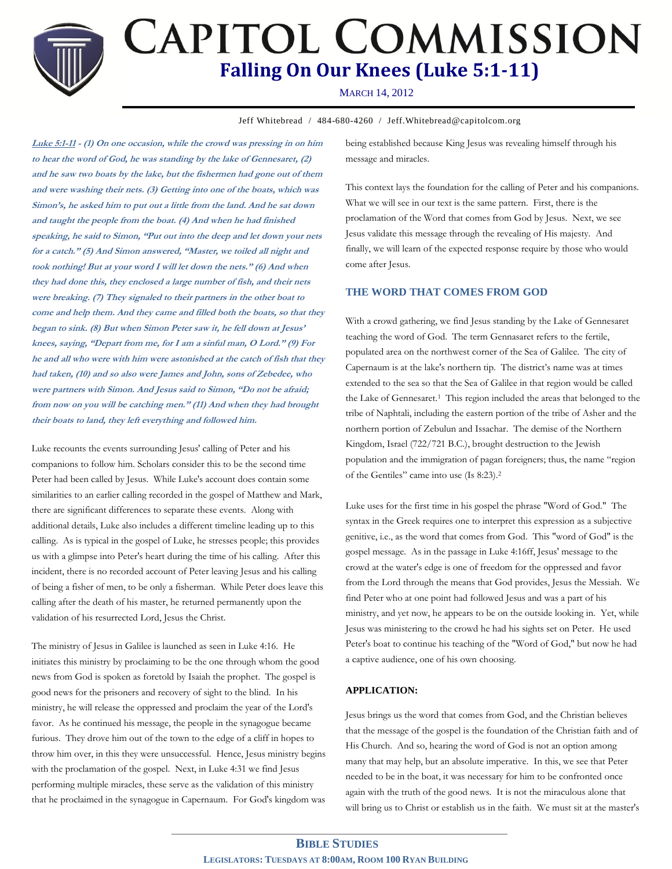**CAPITOL COMMISSION Falling On Our Knees (Luke 5:1-11)**

# MARCH 14, 2012

Jeff Whitebread / 484-680-4260 / Jeff.Whitebread@capitolcom.org

**Luke 5:1-11 - (1) On one occasion, while the crowd was pressing in on him to hear the word of God, he was standing by the lake of Gennesaret, (2) and he saw two boats by the lake, but the fishermen had gone out of them and were washing their nets. (3) Getting into one of the boats, which was Simon's, he asked him to put out a little from the land. And he sat down and taught the people from the boat. (4) And when he had finished speaking, he said to Simon, "Put out into the deep and let down your nets for a catch." (5) And Simon answered, "Master, we toiled all night and took nothing! But at your word I will let down the nets." (6) And when they had done this, they enclosed a large number of fish, and their nets were breaking. (7) They signaled to their partners in the other boat to come and help them. And they came and filled both the boats, so that they began to sink. (8) But when Simon Peter saw it, he fell down at Jesus' knees, saying, "Depart from me, for I am a sinful man, O Lord." (9) For he and all who were with him were astonished at the catch of fish that they had taken, (10) and so also were James and John, sons of Zebedee, who were partners with Simon. And Jesus said to Simon, "Do not be afraid; from now on you will be catching men." (11) And when they had brought their boats to land, they left everything and followed him.**

Luke recounts the events surrounding Jesus' calling of Peter and his companions to follow him. Scholars consider this to be the second time Peter had been called by Jesus. While Luke's account does contain some similarities to an earlier calling recorded in the gospel of Matthew and Mark, there are significant differences to separate these events. Along with additional details, Luke also includes a different timeline leading up to this calling. As is typical in the gospel of Luke, he stresses people; this provides us with a glimpse into Peter's heart during the time of his calling. After this incident, there is no recorded account of Peter leaving Jesus and his calling of being a fisher of men, to be only a fisherman. While Peter does leave this calling after the death of his master, he returned permanently upon the validation of his resurrected Lord, Jesus the Christ.

The ministry of Jesus in Galilee is launched as seen in Luke 4:16. He initiates this ministry by proclaiming to be the one through whom the good news from God is spoken as foretold by Isaiah the prophet. The gospel is good news for the prisoners and recovery of sight to the blind. In his ministry, he will release the oppressed and proclaim the year of the Lord's favor. As he continued his message, the people in the synagogue became furious. They drove him out of the town to the edge of a cliff in hopes to throw him over, in this they were unsuccessful. Hence, Jesus ministry begins with the proclamation of the gospel. Next, in Luke 4:31 we find Jesus performing multiple miracles, these serve as the validation of this ministry that he proclaimed in the synagogue in Capernaum. For God's kingdom was being established because King Jesus was revealing himself through his message and miracles.

This context lays the foundation for the calling of Peter and his companions. What we will see in our text is the same pattern. First, there is the proclamation of the Word that comes from God by Jesus. Next, we see Jesus validate this message through the revealing of His majesty. And finally, we will learn of the expected response require by those who would come after Jesus.

## **THE WORD THAT COMES FROM GOD**

With a crowd gathering, we find Jesus standing by the Lake of Gennesaret teaching the word of God. The term Gennasaret refers to the fertile, populated area on the northwest corner of the Sea of Galilee. The city of Capernaum is at the lake's northern tip. The district's name was at times extended to the sea so that the Sea of Galilee in that region would be called the Lake of Gennesaret.<sup>1</sup> This region included the areas that belonged to the tribe of Naphtali, including the eastern portion of the tribe of Asher and the northern portion of Zebulun and Issachar. The demise of the Northern Kingdom, Israel (722/721 B.C.), brought destruction to the Jewish population and the immigration of pagan foreigners; thus, the name "region of the Gentiles" came into use (Is 8:23).<sup>2</sup>

Luke uses for the first time in his gospel the phrase "Word of God." The syntax in the Greek requires one to interpret this expression as a subjective genitive, i.e., as the word that comes from God. This "word of God" is the gospel message. As in the passage in Luke 4:16ff, Jesus' message to the crowd at the water's edge is one of freedom for the oppressed and favor from the Lord through the means that God provides, Jesus the Messiah. We find Peter who at one point had followed Jesus and was a part of his ministry, and yet now, he appears to be on the outside looking in. Yet, while Jesus was ministering to the crowd he had his sights set on Peter. He used Peter's boat to continue his teaching of the "Word of God," but now he had a captive audience, one of his own choosing.

## **APPLICATION:**

Jesus brings us the word that comes from God, and the Christian believes that the message of the gospel is the foundation of the Christian faith and of His Church. And so, hearing the word of God is not an option among many that may help, but an absolute imperative. In this, we see that Peter needed to be in the boat, it was necessary for him to be confronted once again with the truth of the good news. It is not the miraculous alone that will bring us to Christ or establish us in the faith. We must sit at the master's